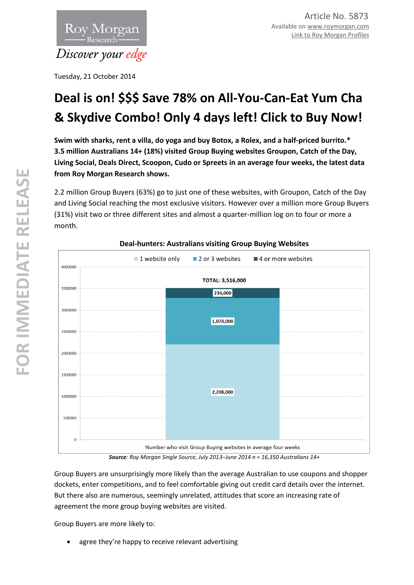

Tuesday, 21 October 2014

# **Deal is on! \$\$\$ Save 78% on All-You-Can-Eat Yum Cha & Skydive Combo! Only 4 days left! Click to Buy Now!**

**Swim with sharks, rent a villa, do yoga and buy Botox, a Rolex, and a half-priced burrito.\* 3.5 million Australians 14+ (18%) visited Group Buying websites Groupon, Catch of the Day, Living Social, Deals Direct, Scoopon, Cudo or Spreets in an average four weeks, the latest data from Roy Morgan Research shows.** 

2.2 million Group Buyers (63%) go to just one of these websites, with Groupon, Catch of the Day and Living Social reaching the most exclusive visitors. However over a million more Group Buyers (31%) visit two or three different sites and almost a quarter-million log on to four or more a month.



# **Deal-hunters: Australians visiting Group Buying Websites**

*Source: Roy Morgan Single Source, July 2013–June 2014 n = 16,350 Australians 14+*

Group Buyers are unsurprisingly more likely than the average Australian to use coupons and shopper dockets, enter competitions, and to feel comfortable giving out credit card details over the internet. But there also are numerous, seemingly unrelated, attitudes that score an increasing rate of agreement the more group buying websites are visited.

Group Buyers are more likely to:

agree they're happy to receive relevant advertising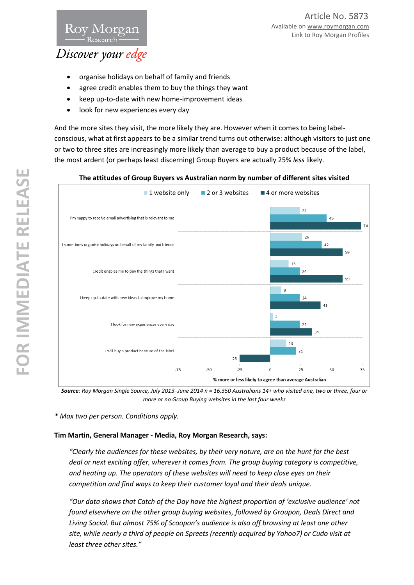# Discover your edge

Rov Morgan

- organise holidays on behalf of family and friends
- agree credit enables them to buy the things they want
- keep up-to-date with new home-improvement ideas
- look for new experiences every day

And the more sites they visit, the more likely they are. However when it comes to being labelconscious, what at first appears to be a similar trend turns out otherwise: although visitors to just one or two to three sites are increasingly more likely than average to buy a product because of the label, the most ardent (or perhaps least discerning) Group Buyers are actually 25% *less* likely.

## **The attitudes of Group Buyers vs Australian norm by number of different sites visited**



*Source: Roy Morgan Single Source, July 2013–June 2014 n = 16,350 Australians 14+ who visited one, two or three, four or more or no Group Buying websites in the last four weeks* 

*\* Max two per person. Conditions apply.*

# **Tim Martin, General Manager - Media, Roy Morgan Research, says:**

*"Clearly the audiences for these websites, by their very nature, are on the hunt for the best deal or next exciting offer, wherever it comes from. The group buying category is competitive, and heating up. The operators of these websites will need to keep close eyes on their competition and find ways to keep their customer loyal and their deals unique.*

*"Our data shows that Catch of the Day have the highest proportion of 'exclusive audience' not found elsewhere on the other group buying websites, followed by Groupon, Deals Direct and Living Social. But almost 75% of Scoopon's audience is also off browsing at least one other site, while nearly a third of people on Spreets (recently acquired by Yahoo7) or Cudo visit at least three other sites."*